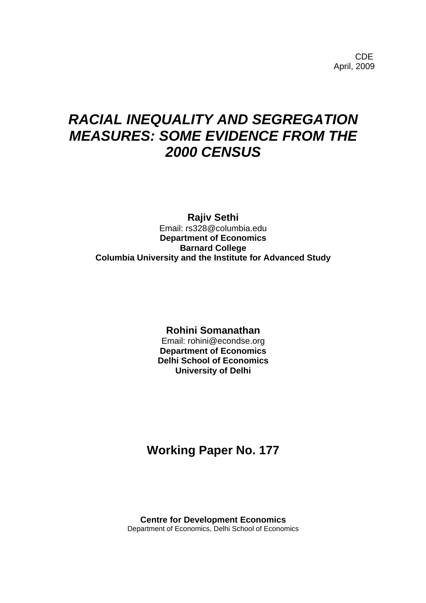**CDE COLLECTION** April, 2009

# *RACIAL INEQUALITY AND SEGREGATION MEASURES: SOME EVIDENCE FROM THE 2000 CENSUS*

### **Rajiv Sethi**  Email: rs328@columbia.edu **Department of Economics Barnard College Columbia University and the Institute for Advanced Study**

## **Rohini Somanathan**

Email: rohini@econdse.org **Department of Economics Delhi School of Economics University of Delhi** 

## **Working Paper No. 177**

**Centre for Development Economics**  Department of Economics, Delhi School of Economics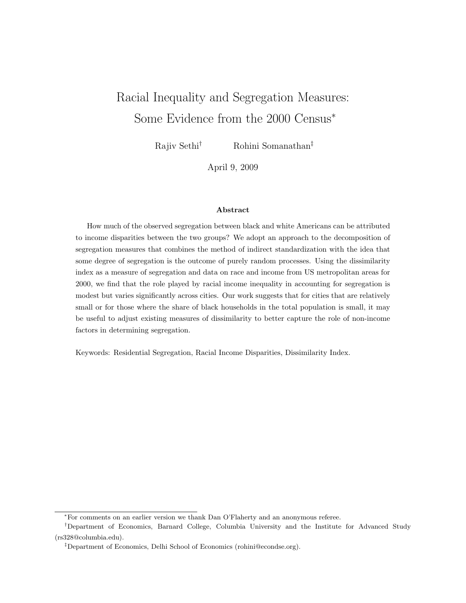# Racial Inequality and Segregation Measures: Some Evidence from the 2000 Census<sup>∗</sup>

Rajiv Sethi<sup>†</sup> Rohini Somanathan<sup>‡</sup>

April 9, 2009

#### Abstract

How much of the observed segregation between black and white Americans can be attributed to income disparities between the two groups? We adopt an approach to the decomposition of segregation measures that combines the method of indirect standardization with the idea that some degree of segregation is the outcome of purely random processes. Using the dissimilarity index as a measure of segregation and data on race and income from US metropolitan areas for 2000, we find that the role played by racial income inequality in accounting for segregation is modest but varies significantly across cities. Our work suggests that for cities that are relatively small or for those where the share of black households in the total population is small, it may be useful to adjust existing measures of dissimilarity to better capture the role of non-income factors in determining segregation.

Keywords: Residential Segregation, Racial Income Disparities, Dissimilarity Index.

<sup>∗</sup>For comments on an earlier version we thank Dan O'Flaherty and an anonymous referee.

<sup>†</sup>Department of Economics, Barnard College, Columbia University and the Institute for Advanced Study (rs328@columbia.edu).

<sup>‡</sup>Department of Economics, Delhi School of Economics (rohini@econdse.org).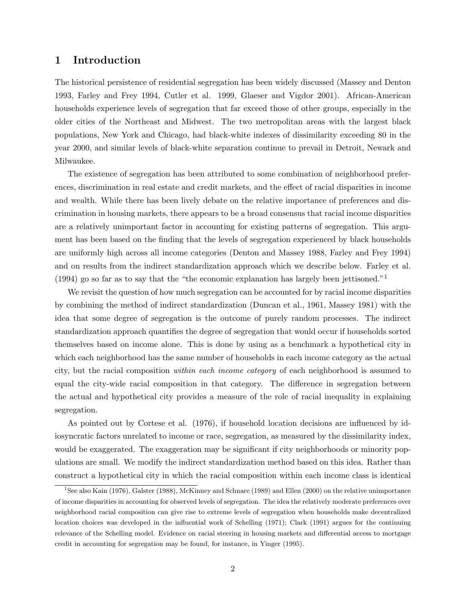#### 1 Introduction

The historical persistence of residential segregation has been widely discussed (Massey and Denton 1993, Farley and Frey 1994, Cutler et al. 1999, Glaeser and Vigdor 2001). African-American households experience levels of segregation that far exceed those of other groups, especially in the older cities of the Northeast and Midwest. The two metropolitan areas with the largest black populations, New York and Chicago, had black-white indexes of dissimilarity exceeding 80 in the year 2000, and similar levels of black-white separation continue to prevail in Detroit, Newark and Milwaukee.

The existence of segregation has been attributed to some combination of neighborhood preferences, discrimination in real estate and credit markets, and the effect of racial disparities in income and wealth. While there has been lively debate on the relative importance of preferences and discrimination in housing markets, there appears to be a broad consensus that racial income disparities are a relatively unimportant factor in accounting for existing patterns of segregation. This argument has been based on the finding that the levels of segregation experienced by black households are uniformly high across all income categories (Denton and Massey 1988, Farley and Frey 1994) and on results from the indirect standardization approach which we describe below. Farley et al. (1994) go so far as to say that the "the economic explanation has largely been jettisoned."<sup>1</sup>

We revisit the question of how much segregation can be accounted for by racial income disparities by combining the method of indirect standardization (Duncan et al., 1961, Massey 1981) with the idea that some degree of segregation is the outcome of purely random processes. The indirect standardization approach quantifies the degree of segregation that would occur if households sorted themselves based on income alone. This is done by using as a benchmark a hypothetical city in which each neighborhood has the same number of households in each income category as the actual city, but the racial composition within each income category of each neighborhood is assumed to equal the city-wide racial composition in that category. The difference in segregation between the actual and hypothetical city provides a measure of the role of racial inequality in explaining segregation.

As pointed out by Cortese et al. (1976), if household location decisions are influenced by idiosyncratic factors unrelated to income or race, segregation, as measured by the dissimilarity index, would be exaggerated. The exaggeration may be significant if city neighborhoods or minority populations are small. We modify the indirect standardization method based on this idea. Rather than construct a hypothetical city in which the racial composition within each income class is identical

<sup>1</sup>See also Kain (1976), Galster (1988), McKinney and Schnare (1989) and Ellen (2000) on the relative unimportance of income disparities in accounting for observed levels of segregation. The idea the relatively moderate preferences over neighborhood racial composition can give rise to extreme levels of segregation when households make decentralized location choices was developed in the influential work of Schelling (1971); Clark (1991) argues for the continuing relevance of the Schelling model. Evidence on racial steering in housing markets and differential access to mortgage credit in accounting for segregation may be found, for instance, in Yinger (1995).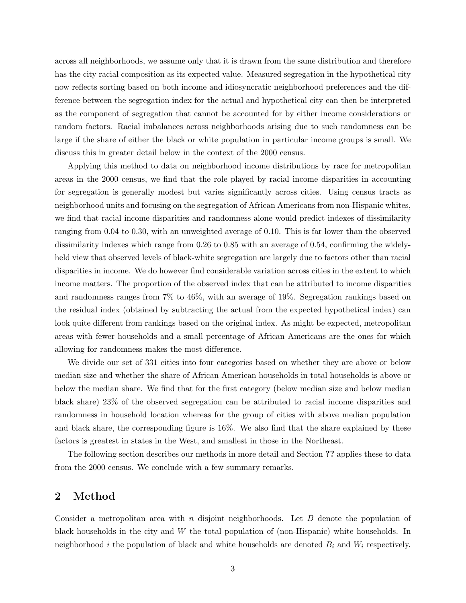across all neighborhoods, we assume only that it is drawn from the same distribution and therefore has the city racial composition as its expected value. Measured segregation in the hypothetical city now reflects sorting based on both income and idiosyncratic neighborhood preferences and the difference between the segregation index for the actual and hypothetical city can then be interpreted as the component of segregation that cannot be accounted for by either income considerations or random factors. Racial imbalances across neighborhoods arising due to such randomness can be large if the share of either the black or white population in particular income groups is small. We discuss this in greater detail below in the context of the 2000 census.

Applying this method to data on neighborhood income distributions by race for metropolitan areas in the 2000 census, we find that the role played by racial income disparities in accounting for segregation is generally modest but varies significantly across cities. Using census tracts as neighborhood units and focusing on the segregation of African Americans from non-Hispanic whites, we find that racial income disparities and randomness alone would predict indexes of dissimilarity ranging from 0.04 to 0.30, with an unweighted average of 0.10. This is far lower than the observed dissimilarity indexes which range from 0.26 to 0.85 with an average of 0.54, confirming the widelyheld view that observed levels of black-white segregation are largely due to factors other than racial disparities in income. We do however find considerable variation across cities in the extent to which income matters. The proportion of the observed index that can be attributed to income disparities and randomness ranges from 7% to 46%, with an average of 19%. Segregation rankings based on the residual index (obtained by subtracting the actual from the expected hypothetical index) can look quite different from rankings based on the original index. As might be expected, metropolitan areas with fewer households and a small percentage of African Americans are the ones for which allowing for randomness makes the most difference.

We divide our set of 331 cities into four categories based on whether they are above or below median size and whether the share of African American households in total households is above or below the median share. We find that for the first category (below median size and below median black share) 23% of the observed segregation can be attributed to racial income disparities and randomness in household location whereas for the group of cities with above median population and black share, the corresponding figure is 16%. We also find that the share explained by these factors is greatest in states in the West, and smallest in those in the Northeast.

The following section describes our methods in more detail and Section ?? applies these to data from the 2000 census. We conclude with a few summary remarks.

#### 2 Method

Consider a metropolitan area with n disjoint neighborhoods. Let  $B$  denote the population of black households in the city and W the total population of (non-Hispanic) white households. In neighborhood i the population of black and white households are denoted  $B_i$  and  $W_i$  respectively.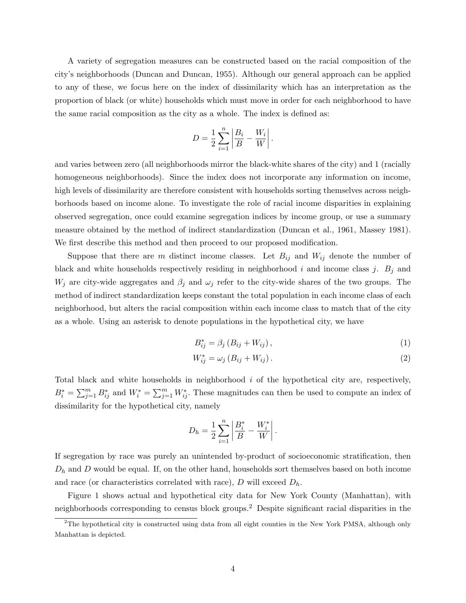A variety of segregation measures can be constructed based on the racial composition of the city's neighborhoods (Duncan and Duncan, 1955). Although our general approach can be applied to any of these, we focus here on the index of dissimilarity which has an interpretation as the proportion of black (or white) households which must move in order for each neighborhood to have the same racial composition as the city as a whole. The index is defined as:

$$
D = \frac{1}{2} \sum_{i=1}^{n} \left| \frac{B_i}{B} - \frac{W_i}{W} \right|.
$$

and varies between zero (all neighborhoods mirror the black-white shares of the city) and 1 (racially homogeneous neighborhoods). Since the index does not incorporate any information on income, high levels of dissimilarity are therefore consistent with households sorting themselves across neighborhoods based on income alone. To investigate the role of racial income disparities in explaining observed segregation, once could examine segregation indices by income group, or use a summary measure obtained by the method of indirect standardization (Duncan et al., 1961, Massey 1981). We first describe this method and then proceed to our proposed modification.

Suppose that there are m distinct income classes. Let  $B_{ij}$  and  $W_{ij}$  denote the number of black and white households respectively residing in neighborhood i and income class j.  $B_j$  and  $W_j$  are city-wide aggregates and  $\beta_j$  and  $\omega_j$  refer to the city-wide shares of the two groups. The method of indirect standardization keeps constant the total population in each income class of each neighborhood, but alters the racial composition within each income class to match that of the city as a whole. Using an asterisk to denote populations in the hypothetical city, we have

$$
B_{ij}^* = \beta_j \left( B_{ij} + W_{ij} \right), \tag{1}
$$

$$
W_{ij}^* = \omega_j \left( B_{ij} + W_{ij} \right). \tag{2}
$$

Total black and white households in neighborhood i of the hypothetical city are, respectively,  $B_i^* = \sum_{j=1}^m B_{ij}^*$  and  $W_i^* = \sum_{j=1}^m W_{ij}^*$ . These magnitudes can then be used to compute an index of dissimilarity for the hypothetical city, namely

$$
D_h = \frac{1}{2} \sum_{i=1}^n \left| \frac{B_i^*}{B} - \frac{W_i^*}{W} \right|.
$$

If segregation by race was purely an unintended by-product of socioeconomic stratification, then  $D_h$  and D would be equal. If, on the other hand, households sort themselves based on both income and race (or characteristics correlated with race),  $D$  will exceed  $D_h$ .

Figure 1 shows actual and hypothetical city data for New York County (Manhattan), with neighborhoods corresponding to census block groups.<sup>2</sup> Despite significant racial disparities in the

<sup>2</sup>The hypothetical city is constructed using data from all eight counties in the New York PMSA, although only Manhattan is depicted.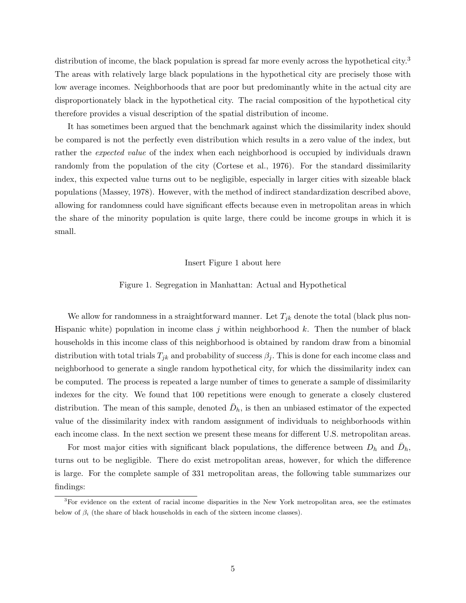distribution of income, the black population is spread far more evenly across the hypothetical city.<sup>3</sup> The areas with relatively large black populations in the hypothetical city are precisely those with low average incomes. Neighborhoods that are poor but predominantly white in the actual city are disproportionately black in the hypothetical city. The racial composition of the hypothetical city therefore provides a visual description of the spatial distribution of income.

It has sometimes been argued that the benchmark against which the dissimilarity index should be compared is not the perfectly even distribution which results in a zero value of the index, but rather the *expected value* of the index when each neighborhood is occupied by individuals drawn randomly from the population of the city (Cortese et al., 1976). For the standard dissimilarity index, this expected value turns out to be negligible, especially in larger cities with sizeable black populations (Massey, 1978). However, with the method of indirect standardization described above, allowing for randomness could have significant effects because even in metropolitan areas in which the share of the minority population is quite large, there could be income groups in which it is small.

#### Insert Figure 1 about here

#### Figure 1. Segregation in Manhattan: Actual and Hypothetical

We allow for randomness in a straightforward manner. Let  $T_{jk}$  denote the total (black plus non-Hispanic white) population in income class j within neighborhood  $k$ . Then the number of black households in this income class of this neighborhood is obtained by random draw from a binomial distribution with total trials  $T_{jk}$  and probability of success  $\beta_j$ . This is done for each income class and neighborhood to generate a single random hypothetical city, for which the dissimilarity index can be computed. The process is repeated a large number of times to generate a sample of dissimilarity indexes for the city. We found that 100 repetitions were enough to generate a closely clustered distribution. The mean of this sample, denoted  $\bar{D}_h$ , is then an unbiased estimator of the expected value of the dissimilarity index with random assignment of individuals to neighborhoods within each income class. In the next section we present these means for different U.S. metropolitan areas.

For most major cities with significant black populations, the difference between  $D_h$  and  $\bar{D}_h$ , turns out to be negligible. There do exist metropolitan areas, however, for which the difference is large. For the complete sample of 331 metropolitan areas, the following table summarizes our findings:

<sup>3</sup>For evidence on the extent of racial income disparities in the New York metropolitan area, see the estimates below of  $\beta_i$  (the share of black households in each of the sixteen income classes).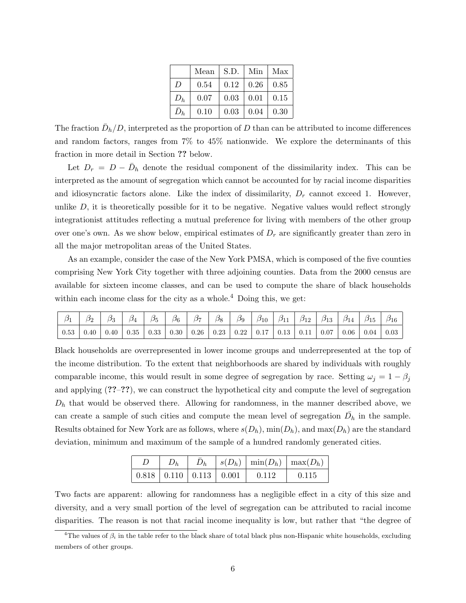|       | Mean | S.D. | Min                | Max  |
|-------|------|------|--------------------|------|
| D     | 0.54 | 0.12 | 0.26               | 0.85 |
| $D_h$ | 0.07 | 0.03 | $\vert 0.01 \vert$ | 0.15 |
| $D_h$ | 0.10 | 0.03 | 0.04               | 0.30 |

The fraction  $\bar{D}_h/D$ , interpreted as the proportion of D than can be attributed to income differences and random factors, ranges from 7% to 45% nationwide. We explore the determinants of this fraction in more detail in Section ?? below.

Let  $D_r = D - \bar{D}_h$  denote the residual component of the dissimilarity index. This can be interpreted as the amount of segregation which cannot be accounted for by racial income disparities and idiosyncratic factors alone. Like the index of dissimilarity,  $D<sub>r</sub>$  cannot exceed 1. However, unlike  $D$ , it is theoretically possible for it to be negative. Negative values would reflect strongly integrationist attitudes reflecting a mutual preference for living with members of the other group over one's own. As we show below, empirical estimates of  $D_r$  are significantly greater than zero in all the major metropolitan areas of the United States.

As an example, consider the case of the New York PMSA, which is composed of the five counties comprising New York City together with three adjoining counties. Data from the 2000 census are available for sixteen income classes, and can be used to compute the share of black households within each income class for the city as a whole.<sup>4</sup> Doing this, we get:

| $\mid$ 0.53 $\mid$ 0.40 $\mid$ 0.40 $\mid$ 0.35 $\mid$ 0.33 $\mid$ 0.30 $\mid$ 0.26 $\mid$ 0.23 $\mid$ 0.22 $\mid$ 0.17 $\mid$ 0.13 $\mid$ 0.11 $\mid$ 0.07 $\mid$ 0.06 $\mid$ 0.04 $\mid$ 0.03 $\mid$ |  |  |  |  |  |  |  |  |
|--------------------------------------------------------------------------------------------------------------------------------------------------------------------------------------------------------|--|--|--|--|--|--|--|--|

Black households are overrepresented in lower income groups and underrepresented at the top of the income distribution. To the extent that neighborhoods are shared by individuals with roughly comparable income, this would result in some degree of segregation by race. Setting  $\omega_j = 1 - \beta_j$ and applying (??–??), we can construct the hypothetical city and compute the level of segregation  $D_h$  that would be observed there. Allowing for randomness, in the manner described above, we can create a sample of such cities and compute the mean level of segregation  $\bar{D_h}$  in the sample. Results obtained for New York are as follows, where  $s(D_h)$ ,  $\min(D_h)$ , and  $\max(D_h)$  are the standard deviation, minimum and maximum of the sample of a hundred randomly generated cities.

|                                       |  | $\bar{D}_h$   $s(D_h)$   $\min(D_h)$   $\max(D_h)$ |       |
|---------------------------------------|--|----------------------------------------------------|-------|
| $0.818$   $0.110$   $0.113$   $0.001$ |  | 0.112                                              | 0.115 |

Two facts are apparent: allowing for randomness has a negligible effect in a city of this size and diversity, and a very small portion of the level of segregation can be attributed to racial income disparities. The reason is not that racial income inequality is low, but rather that "the degree of

<sup>&</sup>lt;sup>4</sup>The values of  $\beta_i$  in the table refer to the black share of total black plus non-Hispanic white households, excluding members of other groups.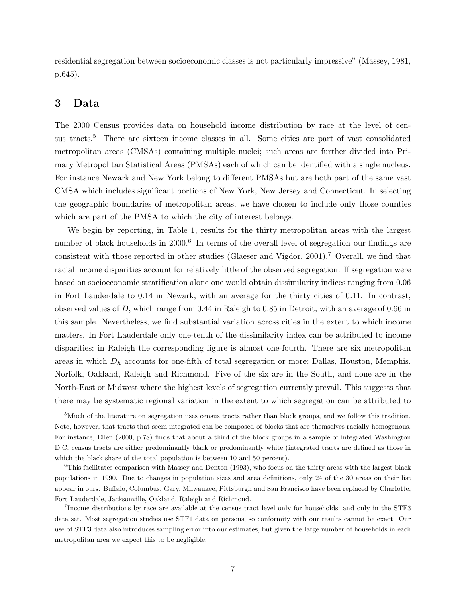residential segregation between socioeconomic classes is not particularly impressive" (Massey, 1981, p.645).

#### 3 Data

The 2000 Census provides data on household income distribution by race at the level of census tracts.<sup>5</sup> There are sixteen income classes in all. Some cities are part of vast consolidated metropolitan areas (CMSAs) containing multiple nuclei; such areas are further divided into Primary Metropolitan Statistical Areas (PMSAs) each of which can be identified with a single nucleus. For instance Newark and New York belong to different PMSAs but are both part of the same vast CMSA which includes significant portions of New York, New Jersey and Connecticut. In selecting the geographic boundaries of metropolitan areas, we have chosen to include only those counties which are part of the PMSA to which the city of interest belongs.

We begin by reporting, in Table 1, results for the thirty metropolitan areas with the largest number of black households in 2000.<sup>6</sup> In terms of the overall level of segregation our findings are consistent with those reported in other studies (Glaeser and Vigdor, 2001).<sup>7</sup> Overall, we find that racial income disparities account for relatively little of the observed segregation. If segregation were based on socioeconomic stratification alone one would obtain dissimilarity indices ranging from 0.06 in Fort Lauderdale to 0.14 in Newark, with an average for the thirty cities of 0.11. In contrast, observed values of D, which range from 0.44 in Raleigh to 0.85 in Detroit, with an average of 0.66 in this sample. Nevertheless, we find substantial variation across cities in the extent to which income matters. In Fort Lauderdale only one-tenth of the dissimilarity index can be attributed to income disparities; in Raleigh the corresponding figure is almost one-fourth. There are six metropolitan areas in which  $\bar{D}_h$  accounts for one-fifth of total segregation or more: Dallas, Houston, Memphis, Norfolk, Oakland, Raleigh and Richmond. Five of the six are in the South, and none are in the North-East or Midwest where the highest levels of segregation currently prevail. This suggests that there may be systematic regional variation in the extent to which segregation can be attributed to

 $5$ Much of the literature on segregation uses census tracts rather than block groups, and we follow this tradition. Note, however, that tracts that seem integrated can be composed of blocks that are themselves racially homogenous. For instance, Ellen (2000, p.78) finds that about a third of the block groups in a sample of integrated Washington D.C. census tracts are either predominantly black or predominantly white (integrated tracts are defined as those in which the black share of the total population is between 10 and 50 percent).

 $6$ This facilitates comparison with Massey and Denton (1993), who focus on the thirty areas with the largest black populations in 1990. Due to changes in population sizes and area definitions, only 24 of the 30 areas on their list appear in ours. Buffalo, Columbus, Gary, Milwaukee, Pittsburgh and San Francisco have been replaced by Charlotte, Fort Lauderdale, Jacksonville, Oakland, Raleigh and Richmond.

<sup>7</sup> Income distributions by race are available at the census tract level only for households, and only in the STF3 data set. Most segregation studies use STF1 data on persons, so conformity with our results cannot be exact. Our use of STF3 data also introduces sampling error into our estimates, but given the large number of households in each metropolitan area we expect this to be negligible.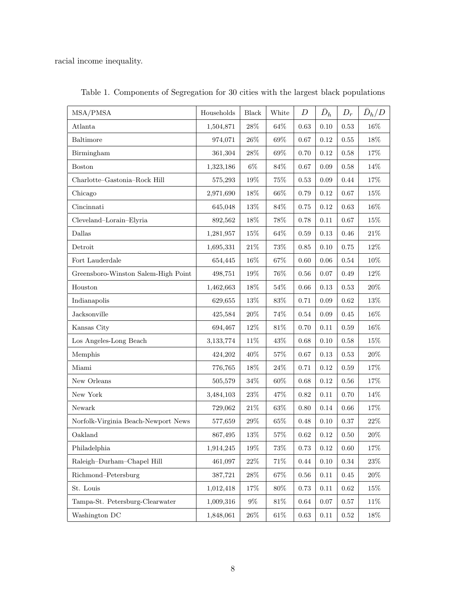racial income inequality.

| MSA/PMSA                            | Households | Black  | White  | D          | $D_h$      | $D_r$    | $\bar{D}_h/D$ |
|-------------------------------------|------------|--------|--------|------------|------------|----------|---------------|
| Atlanta                             | 1,504,871  | $28\%$ | 64%    | 0.63       | 0.10       | 0.53     | $16\%$        |
| Baltimore                           | 974,071    | $26\%$ | $69\%$ | $0.67\,$   | $\rm 0.12$ | $0.55\,$ | $18\%$        |
| Birmingham                          | 361,304    | $28\%$ | $69\%$ | 0.70       | 0.12       | 0.58     | $17\%$        |
| <b>Boston</b>                       | 1,323,186  | $6\%$  | $84\%$ | $0.67\,$   | 0.09       | 0.58     | $14\%$        |
| Charlotte-Gastonia-Rock Hill        | 575,293    | $19\%$ | $75\%$ | $\rm 0.53$ | 0.09       | 0.44     | $17\%$        |
| Chicago                             | 2,971,690  | 18%    | $66\%$ | 0.79       | $\rm 0.12$ | $0.67\,$ | $15\%$        |
| Cincinnati                          | 645,048    | 13%    | $84\%$ | 0.75       | $\rm 0.12$ | 0.63     | 16%           |
| Cleveland-Lorain-Elyria             | 892,562    | 18%    | $78\%$ | 0.78       | 0.11       | 0.67     | $15\%$        |
| Dallas                              | 1,281,957  | $15\%$ | 64%    | 0.59       | $0.13\,$   | 0.46     | $21\%$        |
| Detroit                             | 1,695,331  | $21\%$ | $73\%$ | 0.85       | 0.10       | 0.75     | $12\%$        |
| Fort Lauderdale                     | 654,445    | $16\%$ | $67\%$ | 0.60       | 0.06       | 0.54     | $10\%$        |
| Greensboro-Winston Salem-High Point | 498,751    | 19%    | $76\%$ | 0.56       | 0.07       | 0.49     | 12%           |
| Houston                             | 1,462,663  | 18%    | $54\%$ | 0.66       | 0.13       | 0.53     | $20\%$        |
| Indianapolis                        | 629,655    | 13%    | 83%    | 0.71       | 0.09       | 0.62     | 13%           |
| Jacksonville                        | 425,584    | $20\%$ | 74%    | 0.54       | 0.09       | 0.45     | $16\%$        |
| Kansas City                         | 694,467    | 12%    | $81\%$ | 0.70       | 0.11       | 0.59     | 16%           |
| Los Angeles-Long Beach              | 3,133,774  | $11\%$ | $43\%$ | 0.68       | 0.10       | $0.58\,$ | $15\%$        |
| Memphis                             | 424,202    | $40\%$ | $57\%$ | $0.67\,$   | $0.13\,$   | 0.53     | $20\%$        |
| Miami                               | 776,765    | $18\%$ | $24\%$ | 0.71       | $\rm 0.12$ | 0.59     | $17\%$        |
| New Orleans                         | 505,579    | $34\%$ | $60\%$ | 0.68       | 0.12       | 0.56     | $17\%$        |
| New York                            | 3,484,103  | $23\%$ | 47%    | 0.82       | $0.11\,$   | 0.70     | 14%           |
| Newark                              | 729,062    | $21\%$ | $63\%$ | 0.80       | 0.14       | 0.66     | 17%           |
| Norfolk-Virginia Beach-Newport News | 577,659    | $29\%$ | $65\%$ | 0.48       | 0.10       | 0.37     | $22\%$        |
| Oakland                             | 867,495    | $13\%$ | $57\%$ | 0.62       | 0.12       | 0.50     | $20\%$        |
| Philadelphia                        | 1,914,245  | 19%    | 73\%   | $0.73\,$   | $0.12\,$   | $0.60\,$ | 17%           |
| Raleigh-Durham-Chapel Hill          | 461,097    | $22\%$ | $71\%$ | 0.44       | $0.10\,$   | 0.34     | $23\%$        |
| Richmond-Petersburg                 | 387,721    | $28\%$ | $67\%$ | 0.56       | 0.11       | 0.45     | $20\%$        |
| St. Louis                           | 1,012,418  | $17\%$ | $80\%$ | $0.73\,$   | 0.11       | $0.62\,$ | $15\%$        |
| Tampa-St. Petersburg-Clearwater     | 1,009,316  | $9\%$  | 81\%   | 0.64       | 0.07       | $0.57\,$ | 11\%          |
| Washington DC                       | 1,848,061  | $26\%$ | $61\%$ | 0.63       | $0.11\,$   | $0.52\,$ | $18\%$        |

Table 1. Components of Segregation for 30 cities with the largest black populations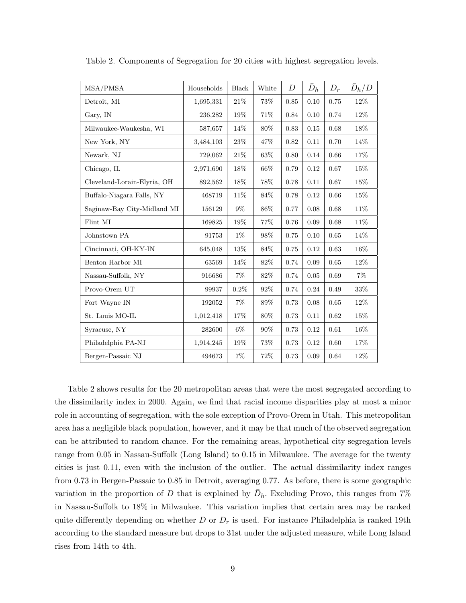| MSA/PMSA                    | Households | <b>Black</b> | White  | $\boldsymbol{D}$ | $\bar{D}_h$ | $D_r$      | $\bar{D}_h/D$ |
|-----------------------------|------------|--------------|--------|------------------|-------------|------------|---------------|
| Detroit, MI                 | 1,695,331  | 21\%         | $73\%$ | 0.85             | 0.10        | 0.75       | 12%           |
| Gary, IN                    | 236,282    | $19\%$       | 71%    | 0.84             | 0.10        | 0.74       | $12\%$        |
| Milwaukee-Waukesha, WI      | 587,657    | 14%          | 80%    | 0.83             | 0.15        | 0.68       | 18%           |
| New York, NY                | 3,484,103  | 23%          | 47%    | 0.82             | 0.11        | 0.70       | 14%           |
| Newark, NJ                  | 729,062    | $21\%$       | $63\%$ | 0.80             | 0.14        | 0.66       | 17%           |
| Chicago, IL                 | 2,971,690  | 18%          | 66%    | 0.79             | 0.12        | 0.67       | 15%           |
| Cleveland-Lorain-Elyria, OH | 892,562    | 18%          | 78%    | 0.78             | 0.11        | 0.67       | $15\%$        |
| Buffalo-Niagara Falls, NY   | 468719     | 11%          | 84%    | 0.78             | 0.12        | 0.66       | 15%           |
| Saginaw-Bay City-Midland MI | 156129     | $9\%$        | $86\%$ | 0.77             | 0.08        | 0.68       | $11\%$        |
| Flint MI                    | 169825     | 19%          | 77%    | 0.76             | 0.09        | 0.68       | 11%           |
| Johnstown PA                | 91753      | $1\%$        | 98%    | 0.75             | 0.10        | 0.65       | 14%           |
| Cincinnati, OH-KY-IN        | 645,048    | 13\%         | 84%    | 0.75             | 0.12        | 0.63       | $16\%$        |
| Benton Harbor MI            | 63569      | 14%          | 82%    | 0.74             | 0.09        | 0.65       | 12%           |
| Nassau-Suffolk, NY          | 916686     | $7\%$        | 82%    | 0.74             | 0.05        | 0.69       | $7\%$         |
| Provo-Orem UT               | 99937      | $0.2\%$      | $92\%$ | 0.74             | 0.24        | 0.49       | $33\%$        |
| Fort Wayne IN               | 192052     | $7\%$        | $89\%$ | 0.73             | 0.08        | 0.65       | $12\%$        |
| St. Louis MO-IL             | 1,012,418  | 17%          | 80%    | 0.73             | 0.11        | 0.62       | 15%           |
| Syracuse, NY                | 282600     | $6\%$        | $90\%$ | 0.73             | 0.12        | $\rm 0.61$ | $16\%$        |
| Philadelphia PA-NJ          | 1,914,245  | 19%          | 73%    | 0.73             | 0.12        | 0.60       | $17\%$        |
| Bergen-Passaic NJ           | 494673     | $7\%$        | 72%    | 0.73             | 0.09        | $\,0.64\,$ | 12%           |

Table 2. Components of Segregation for 20 cities with highest segregation levels.

Table 2 shows results for the 20 metropolitan areas that were the most segregated according to the dissimilarity index in 2000. Again, we find that racial income disparities play at most a minor role in accounting of segregation, with the sole exception of Provo-Orem in Utah. This metropolitan area has a negligible black population, however, and it may be that much of the observed segregation can be attributed to random chance. For the remaining areas, hypothetical city segregation levels range from 0.05 in Nassau-Suffolk (Long Island) to 0.15 in Milwaukee. The average for the twenty cities is just 0.11, even with the inclusion of the outlier. The actual dissimilarity index ranges from 0.73 in Bergen-Passaic to 0.85 in Detroit, averaging 0.77. As before, there is some geographic variation in the proportion of D that is explained by  $\bar{D}_h$ . Excluding Provo, this ranges from 7% in Nassau-Suffolk to 18% in Milwaukee. This variation implies that certain area may be ranked quite differently depending on whether D or  $D_r$  is used. For instance Philadelphia is ranked 19th according to the standard measure but drops to 31st under the adjusted measure, while Long Island rises from 14th to 4th.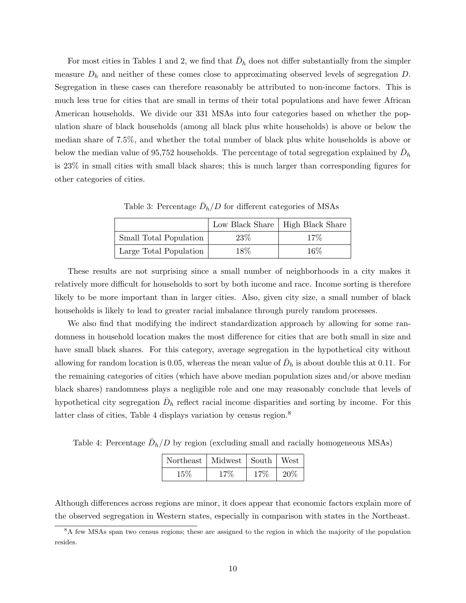For most cities in Tables 1 and 2, we find that  $\bar{D}_h$  does not differ substantially from the simpler measure  $D_h$  and neither of these comes close to approximating observed levels of segregation  $D$ . Segregation in these cases can therefore reasonably be attributed to non-income factors. This is much less true for cities that are small in terms of their total populations and have fewer African American households. We divide our 331 MSAs into four categories based on whether the population share of black households (among all black plus white households) is above or below the median share of 7.5%, and whether the total number of black plus white households is above or below the median value of 95,752 households. The percentage of total segregation explained by  $\bar{D}_h$ is 23% in small cities with small black shares; this is much larger than corresponding figures for other categories of cities.

|                        |      | Low Black Share   High Black Share |
|------------------------|------|------------------------------------|
| Small Total Population | 23\% | $17\%$                             |
| Large Total Population | 18\% | $16\%$                             |

Table 3: Percentage  $\bar{D}_h/D$  for different categories of MSAs

These results are not surprising since a small number of neighborhoods in a city makes it relatively more difficult for households to sort by both income and race. Income sorting is therefore likely to be more important than in larger cities. Also, given city size, a small number of black households is likely to lead to greater racial imbalance through purely random processes.

We also find that modifying the indirect standardization approach by allowing for some randomness in household location makes the most difference for cities that are both small in size and have small black shares. For this category, average segregation in the hypothetical city without allowing for random location is 0.05, whereas the mean value of  $\bar{D}_h$  is about double this at 0.11. For the remaining categories of cities (which have above median population sizes and/or above median black shares) randomness plays a negligible role and one may reasonably conclude that levels of hypothetical city segregation  $\bar{D}_h$  reflect racial income disparities and sorting by income. For this latter class of cities, Table 4 displays variation by census region.<sup>8</sup>

Table 4: Percentage  $\bar{D}_h/D$  by region (excluding small and racially homogeneous MSAs)

| Northeast   Midwest   South   West |     |     |      |
|------------------------------------|-----|-----|------|
| 15%                                | 17% | 17% | 20\% |

Although differences across regions are minor, it does appear that economic factors explain more of the observed segregation in Western states, especially in comparison with states in the Northeast.

<sup>&</sup>lt;sup>8</sup>A few MSAs span two census regions; these are assigned to the region in which the majority of the population resides.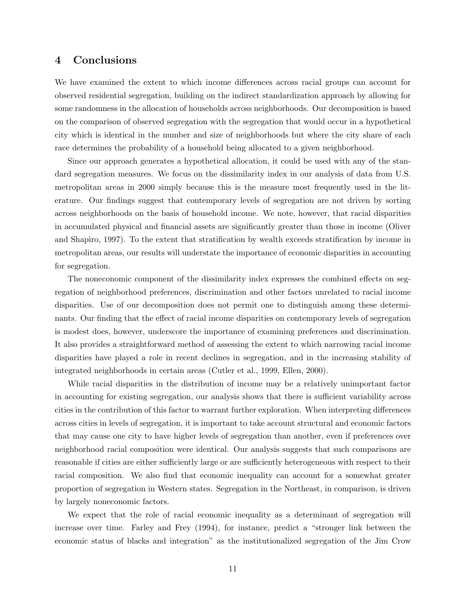### 4 Conclusions

We have examined the extent to which income differences across racial groups can account for observed residential segregation, building on the indirect standardization approach by allowing for some randomness in the allocation of households across neighborhoods. Our decomposition is based on the comparison of observed segregation with the segregation that would occur in a hypothetical city which is identical in the number and size of neighborhoods but where the city share of each race determines the probability of a household being allocated to a given neighborhood.

Since our approach generates a hypothetical allocation, it could be used with any of the standard segregation measures. We focus on the dissimilarity index in our analysis of data from U.S. metropolitan areas in 2000 simply because this is the measure most frequently used in the literature. Our findings suggest that contemporary levels of segregation are not driven by sorting across neighborhoods on the basis of household income. We note, however, that racial disparities in accumulated physical and financial assets are significantly greater than those in income (Oliver and Shapiro, 1997). To the extent that stratification by wealth exceeds stratification by income in metropolitan areas, our results will understate the importance of economic disparities in accounting for segregation.

The noneconomic component of the dissimilarity index expresses the combined effects on segregation of neighborhood preferences, discrimination and other factors unrelated to racial income disparities. Use of our decomposition does not permit one to distinguish among these determinants. Our finding that the effect of racial income disparities on contemporary levels of segregation is modest does, however, underscore the importance of examining preferences and discrimination. It also provides a straightforward method of assessing the extent to which narrowing racial income disparities have played a role in recent declines in segregation, and in the increasing stability of integrated neighborhoods in certain areas (Cutler et al., 1999, Ellen, 2000).

While racial disparities in the distribution of income may be a relatively unimportant factor in accounting for existing segregation, our analysis shows that there is sufficient variability across cities in the contribution of this factor to warrant further exploration. When interpreting differences across cities in levels of segregation, it is important to take account structural and economic factors that may cause one city to have higher levels of segregation than another, even if preferences over neighborhood racial composition were identical. Our analysis suggests that such comparisons are reasonable if cities are either sufficiently large or are sufficiently heterogeneous with respect to their racial composition. We also find that economic inequality can account for a somewhat greater proportion of segregation in Western states. Segregation in the Northeast, in comparison, is driven by largely noneconomic factors.

We expect that the role of racial economic inequality as a determinant of segregation will increase over time. Farley and Frey (1994), for instance, predict a "stronger link between the economic status of blacks and integration" as the institutionalized segregation of the Jim Crow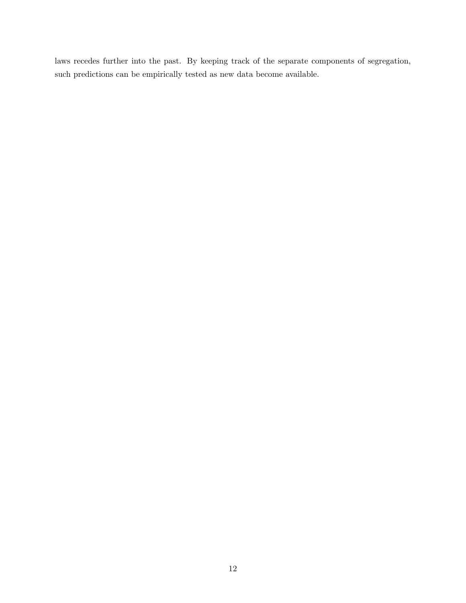laws recedes further into the past. By keeping track of the separate components of segregation, such predictions can be empirically tested as new data become available.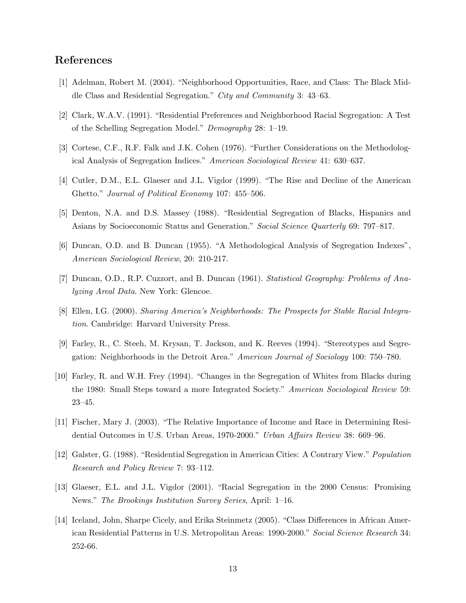#### References

- [1] Adelman, Robert M. (2004). "Neighborhood Opportunities, Race, and Class: The Black Middle Class and Residential Segregation." City and Community 3: 43–63.
- [2] Clark, W.A.V. (1991). "Residential Preferences and Neighborhood Racial Segregation: A Test of the Schelling Segregation Model." Demography 28: 1–19.
- [3] Cortese, C.F., R.F. Falk and J.K. Cohen (1976). "Further Considerations on the Methodological Analysis of Segregation Indices." American Sociological Review 41: 630–637.
- [4] Cutler, D.M., E.L. Glaeser and J.L. Vigdor (1999). "The Rise and Decline of the American Ghetto." Journal of Political Economy 107: 455–506.
- [5] Denton, N.A. and D.S. Massey (1988). "Residential Segregation of Blacks, Hispanics and Asians by Socioeconomic Status and Generation." Social Science Quarterly 69: 797–817.
- [6] Duncan, O.D. and B. Duncan (1955). "A Methodological Analysis of Segregation Indexes", American Sociological Review, 20: 210-217.
- [7] Duncan, O.D., R.P. Cuzzort, and B. Duncan (1961). Statistical Geography: Problems of Analyzing Areal Data. New York: Glencoe.
- [8] Ellen, I.G. (2000). Sharing America's Neighborhoods: The Prospects for Stable Racial Integration. Cambridge: Harvard University Press.
- [9] Farley, R., C. Steeh, M. Krysan, T. Jackson, and K. Reeves (1994). "Stereotypes and Segregation: Neighborhoods in the Detroit Area." American Journal of Sociology 100: 750–780.
- [10] Farley, R. and W.H. Frey (1994). "Changes in the Segregation of Whites from Blacks during the 1980: Small Steps toward a more Integrated Society." American Sociological Review 59: 23–45.
- [11] Fischer, Mary J. (2003). "The Relative Importance of Income and Race in Determining Residential Outcomes in U.S. Urban Areas, 1970-2000." Urban Affairs Review 38: 669–96.
- [12] Galster, G. (1988). "Residential Segregation in American Cities: A Contrary View." Population Research and Policy Review 7: 93–112.
- [13] Glaeser, E.L. and J.L. Vigdor (2001). "Racial Segregation in the 2000 Census: Promising News." The Brookings Institution Survey Series, April: 1–16.
- [14] Iceland, John, Sharpe Cicely, and Erika Steinmetz (2005). "Class Differences in African American Residential Patterns in U.S. Metropolitan Areas: 1990-2000." Social Science Research 34: 252-66.